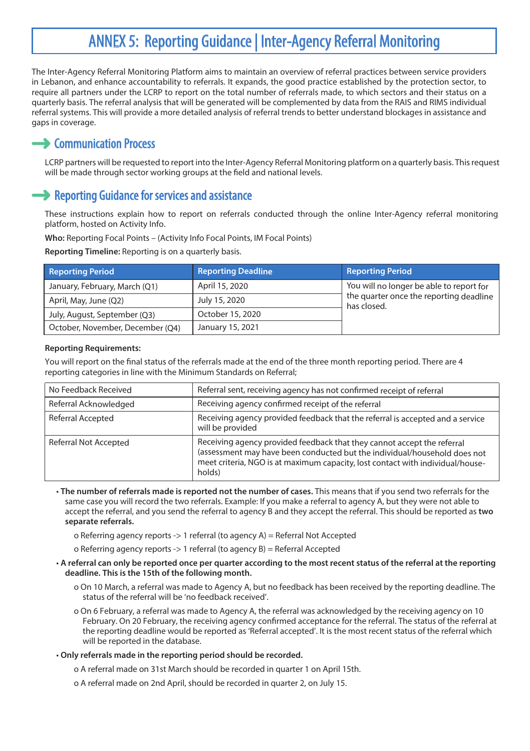# ANNEX 5: Reporting Guidance | Inter-Agency Referral Monitoring

The Inter-Agency Referral Monitoring Platform aims to maintain an overview of referral practices between service providers in Lebanon, and enhance accountability to referrals. It expands, the good practice established by the protection sector, to require all partners under the LCRP to report on the total number of referrals made, to which sectors and their status on a quarterly basis. The referral analysis that will be generated will be complemented by data from the RAIS and RIMS individual referral systems. This will provide a more detailed analysis of referral trends to better understand blockages in assistance and gaps in coverage.

# **Communication Process**

LCRP partners will be requested to report into the Inter-Agency Referral Monitoring platform on a quarterly basis. This request will be made through sector working groups at the field and national levels.

## **→ Reporting Guidance for services and assistance**

These instructions explain how to report on referrals conducted through the online Inter-Agency referral monitoring platform, hosted on Activity Info.

**Who:** Reporting Focal Points – (Activity Info Focal Points, IM Focal Points)

**Reporting Timeline:** Reporting is on a quarterly basis.

| <b>Reporting Period</b>          | <b>Reporting Deadline</b> | <b>Reporting Period</b>                                                                            |
|----------------------------------|---------------------------|----------------------------------------------------------------------------------------------------|
| January, February, March (Q1)    | April 15, 2020            | You will no longer be able to report for<br>the quarter once the reporting deadline<br>has closed. |
| April, May, June (Q2)            | July 15, 2020             |                                                                                                    |
| July, August, September (Q3)     | October 15, 2020          |                                                                                                    |
| October, November, December (O4) | January 15, 2021          |                                                                                                    |

### **Reporting Requirements:**

You will report on the final status of the referrals made at the end of the three month reporting period. There are 4 reporting categories in line with the Minimum Standards on Referral;

| No Feedback Received         | Referral sent, receiving agency has not confirmed receipt of referral                                                                                                                                                                            |  |
|------------------------------|--------------------------------------------------------------------------------------------------------------------------------------------------------------------------------------------------------------------------------------------------|--|
| Referral Acknowledged        | Receiving agency confirmed receipt of the referral                                                                                                                                                                                               |  |
| Referral Accepted            | Receiving agency provided feedback that the referral is accepted and a service<br>will be provided                                                                                                                                               |  |
| <b>Referral Not Accepted</b> | Receiving agency provided feedback that they cannot accept the referral<br>(assessment may have been conducted but the individual/household does not<br>meet criteria, NGO is at maximum capacity, lost contact with individual/house-<br>holds) |  |

- **The number of referrals made is reported not the number of cases.** This means that if you send two referrals for the same case you will record the two referrals. Example: If you make a referral to agency A, but they were not able to accept the referral, and you send the referral to agency B and they accept the referral. This should be reported as **two separate referrals.** 
	- o Referring agency reports -> 1 referral (to agency A) = Referral Not Accepted

o Referring agency reports -> 1 referral (to agency B) = Referral Accepted

- **A referral can only be reported once per quarter according to the most recent status of the referral at the reporting deadline. This is the 15th of the following month.** 
	- o On 10 March, a referral was made to Agency A, but no feedback has been received by the reporting deadline. The status of the referral will be 'no feedback received'.
	- o On 6 February, a referral was made to Agency A, the referral was acknowledged by the receiving agency on 10 February. On 20 February, the receiving agency confirmed acceptance for the referral. The status of the referral at the reporting deadline would be reported as 'Referral accepted'. It is the most recent status of the referral which will be reported in the database.

### • **Only referrals made in the reporting period should be recorded.**

- o A referral made on 31st March should be recorded in quarter 1 on April 15th.
- o A referral made on 2nd April, should be recorded in quarter 2, on July 15.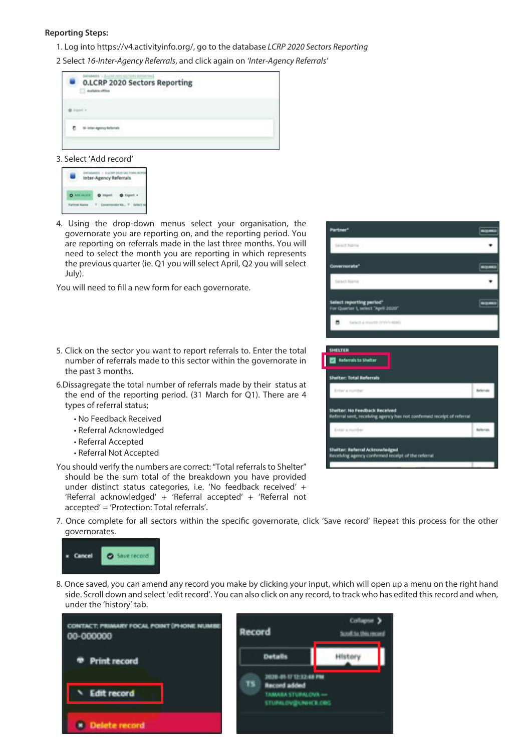#### **Reporting Steps:**

1. Log into https://v4.activityinfo.org/, go to the database *LCRP 2020 Sectors Reporting* 

2 Select *16-Inter-Agency Referrals*, and click again on *'Inter-Agency Referrals'*

| ALBR 2022 MCTONS BEFORTING<br><b>O.LCRP 2020 Sectors Reporting</b><br>on an una comp |  |
|--------------------------------------------------------------------------------------|--|
|                                                                                      |  |
|                                                                                      |  |
|                                                                                      |  |

#### 3. Select 'Add record'



4. Using the drop-down menus select your organisation, the governorate you are reporting on, and the reporting period. You are reporting on referrals made in the last three months. You will need to select the month you are reporting in which represents the previous quarter (ie. Q1 you will select April, Q2 you will select July).

You will need to fill a new form for each governorate.

- 5. Click on the sector you want to report referrals to. Enter the total number of referrals made to this sector within the governorate in the past 3 months.
- 6.Dissagregate the total number of referrals made by their status at the end of the reporting period. (31 March for Q1). There are 4 types of referral status;
	- No Feedback Received
	- Referral Acknowledged
	- Referral Accepted
	- Referral Not Accepted
- You should verify the numbers are correct: "Total referrals to Shelter" should be the sum total of the breakdown you have provided under distinct status categories, i.e. 'No feedback received' + 'Referral acknowledged' + 'Referral accepted' + 'Referral not accepted' = 'Protection: Total referrals'.
- 7. Once complete for all sectors within the specific governorate, click 'Save record' Repeat this process for the other governorates.



8. Once saved, you can amend any record you make by clicking your input, which will open up a menu on the right hand side. Scroll down and select 'edit record'. You can also click on any record, to track who has edited this record and when, under the 'history' tab.